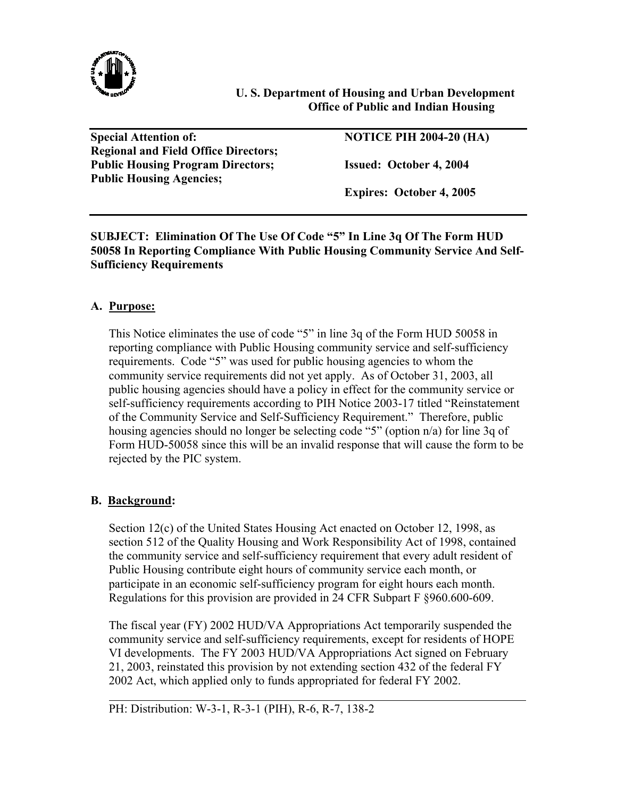

## **U. S. Department of Housing and Urban Development Office of Public and Indian Housing**

Special Attention of: NOTICE PIH 2004-20 (HA) **Regional and Field Office Directors; Public Housing Program Directors; Issued: October 4, 2004 Public Housing Agencies;** 

 **Expires: October 4, 2005** 

**SUBJECT: Elimination Of The Use Of Code "5" In Line 3q Of The Form HUD 50058 In Reporting Compliance With Public Housing Community Service And Self-Sufficiency Requirements** 

## **A. Purpose:**

This Notice eliminates the use of code "5" in line 3q of the Form HUD 50058 in reporting compliance with Public Housing community service and self-sufficiency requirements. Code "5" was used for public housing agencies to whom the community service requirements did not yet apply. As of October 31, 2003, all public housing agencies should have a policy in effect for the community service or self-sufficiency requirements according to PIH Notice 2003-17 titled "Reinstatement of the Community Service and Self-Sufficiency Requirement." Therefore, public housing agencies should no longer be selecting code "5" (option n/a) for line 3q of Form HUD-50058 since this will be an invalid response that will cause the form to be rejected by the PIC system.

# **B. Background:**

l

Section 12(c) of the United States Housing Act enacted on October 12, 1998, as section 512 of the Quality Housing and Work Responsibility Act of 1998, contained the community service and self-sufficiency requirement that every adult resident of Public Housing contribute eight hours of community service each month, or participate in an economic self-sufficiency program for eight hours each month. Regulations for this provision are provided in 24 CFR Subpart F §960.600-609.

The fiscal year (FY) 2002 HUD/VA Appropriations Act temporarily suspended the community service and self-sufficiency requirements, except for residents of HOPE VI developments. The FY 2003 HUD/VA Appropriations Act signed on February 21, 2003, reinstated this provision by not extending section 432 of the federal FY 2002 Act, which applied only to funds appropriated for federal FY 2002.

PH: Distribution: W-3-1, R-3-1 (PIH), R-6, R-7, 138-2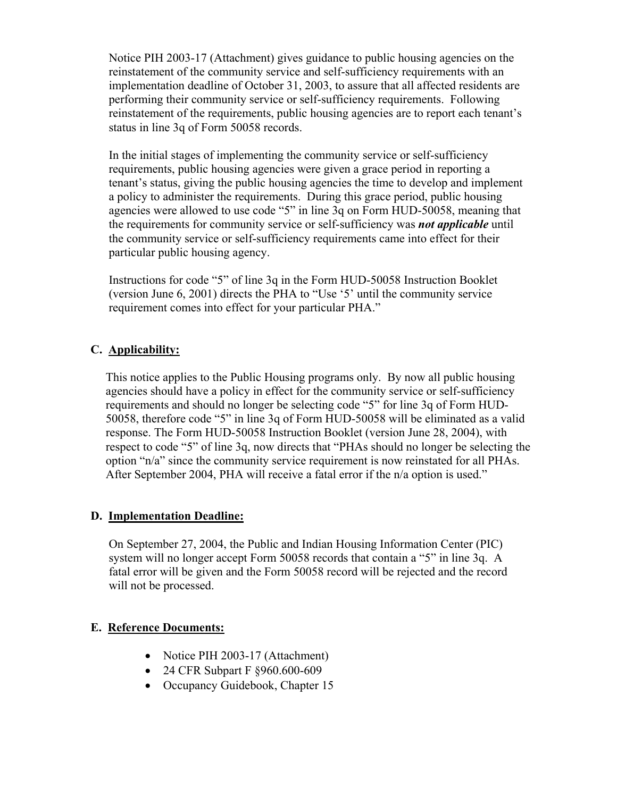Notice PIH 2003-17 (Attachment) gives guidance to public housing agencies on the reinstatement of the community service and self-sufficiency requirements with an implementation deadline of October 31, 2003, to assure that all affected residents are performing their community service or self-sufficiency requirements. Following reinstatement of the requirements, public housing agencies are to report each tenant's status in line 3q of Form 50058 records.

In the initial stages of implementing the community service or self-sufficiency requirements, public housing agencies were given a grace period in reporting a tenant's status, giving the public housing agencies the time to develop and implement a policy to administer the requirements. During this grace period, public housing agencies were allowed to use code "5" in line 3q on Form HUD-50058, meaning that the requirements for community service or self-sufficiency was *not applicable* until the community service or self-sufficiency requirements came into effect for their particular public housing agency.

Instructions for code "5" of line 3q in the Form HUD-50058 Instruction Booklet (version June 6, 2001) directs the PHA to "Use '5' until the community service requirement comes into effect for your particular PHA."

## **C. Applicability:**

This notice applies to the Public Housing programs only. By now all public housing agencies should have a policy in effect for the community service or self-sufficiency requirements and should no longer be selecting code "5" for line 3q of Form HUD-50058, therefore code "5" in line 3q of Form HUD-50058 will be eliminated as a valid response. The Form HUD-50058 Instruction Booklet (version June 28, 2004), with respect to code "5" of line 3q, now directs that "PHAs should no longer be selecting the option "n/a" since the community service requirement is now reinstated for all PHAs. After September 2004, PHA will receive a fatal error if the n/a option is used."

### **D. Implementation Deadline:**

 On September 27, 2004, the Public and Indian Housing Information Center (PIC) system will no longer accept Form 50058 records that contain a "5" in line 3q. A fatal error will be given and the Form 50058 record will be rejected and the record will not be processed.

# **E. Reference Documents:**

- Notice PIH 2003-17 (Attachment)
- 24 CFR Subpart F §960.600-609
- Occupancy Guidebook, Chapter 15